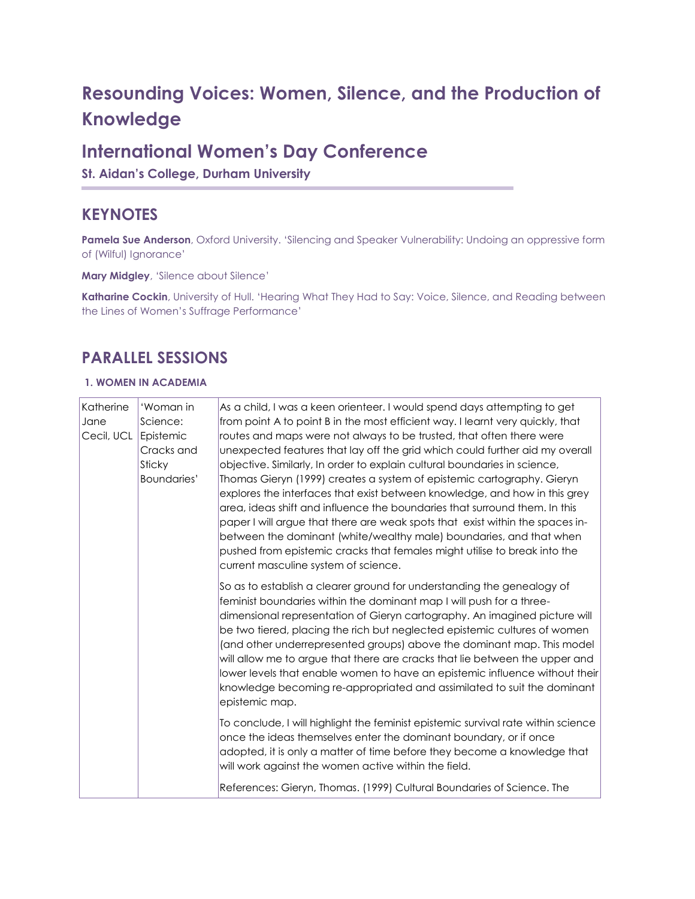# **Resounding Voices: Women, Silence, and the Production of Knowledge**

# **International Women's Day Conference**

**St. Aidan's College, Durham University**

### **KEYNOTES**

**Pamela Sue Anderson**, Oxford University. 'Silencing and Speaker Vulnerability: Undoing an oppressive form of (Wilful) Ignorance'

**Mary Midgley**, 'Silence about Silence'

**Katharine Cockin**, University of Hull. 'Hearing What They Had to Say: Voice, Silence, and Reading between the Lines of Women's Suffrage Performance'

## **PARALLEL SESSIONS**

#### **1. WOMEN IN ACADEMIA**

| Katherine<br>Jane<br>Cecil, UCL | 'Woman in<br>Science:<br>Epistemic<br>Cracks and<br>Sticky<br><b>Boundaries'</b> | As a child, I was a keen orienteer. I would spend days attempting to get<br>from point A to point B in the most efficient way. I learnt very quickly, that<br>routes and maps were not always to be trusted, that often there were<br>unexpected features that lay off the grid which could further aid my overall<br>objective. Similarly, In order to explain cultural boundaries in science,<br>Thomas Gieryn (1999) creates a system of epistemic cartography. Gieryn<br>explores the interfaces that exist between knowledge, and how in this grey<br>area, ideas shift and influence the boundaries that surround them. In this<br>paper I will argue that there are weak spots that exist within the spaces in-<br>between the dominant (white/wealthy male) boundaries, and that when<br>pushed from epistemic cracks that females might utilise to break into the<br>current masculine system of science. |
|---------------------------------|----------------------------------------------------------------------------------|--------------------------------------------------------------------------------------------------------------------------------------------------------------------------------------------------------------------------------------------------------------------------------------------------------------------------------------------------------------------------------------------------------------------------------------------------------------------------------------------------------------------------------------------------------------------------------------------------------------------------------------------------------------------------------------------------------------------------------------------------------------------------------------------------------------------------------------------------------------------------------------------------------------------|
|                                 |                                                                                  | So as to establish a clearer ground for understanding the genealogy of<br>feminist boundaries within the dominant map I will push for a three-<br>dimensional representation of Gieryn cartography. An imagined picture will<br>be two tiered, placing the rich but neglected epistemic cultures of women<br>(and other underrepresented groups) above the dominant map. This model<br>will allow me to argue that there are cracks that lie between the upper and<br>lower levels that enable women to have an epistemic influence without their<br>knowledge becoming re-appropriated and assimilated to suit the dominant<br>epistemic map.                                                                                                                                                                                                                                                                     |
|                                 |                                                                                  | To conclude, I will highlight the feminist epistemic survival rate within science<br>once the ideas themselves enter the dominant boundary, or if once<br>adopted, it is only a matter of time before they become a knowledge that<br>will work against the women active within the field.                                                                                                                                                                                                                                                                                                                                                                                                                                                                                                                                                                                                                         |
|                                 |                                                                                  | References: Gieryn, Thomas. (1999) Cultural Boundaries of Science. The                                                                                                                                                                                                                                                                                                                                                                                                                                                                                                                                                                                                                                                                                                                                                                                                                                             |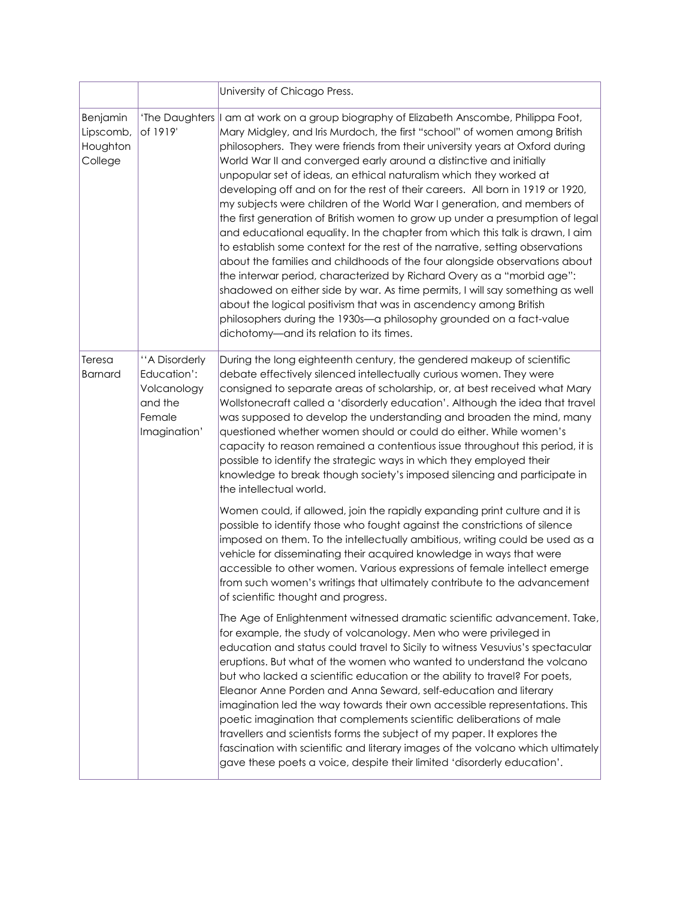|                                              |                                                                                  | University of Chicago Press.                                                                                                                                                                                                                                                                                                                                                                                                                                                                                                                                                                                                                                                                                                                                                                                                                                                                                                                                                                                                                                                                                                                                                                                                                       |
|----------------------------------------------|----------------------------------------------------------------------------------|----------------------------------------------------------------------------------------------------------------------------------------------------------------------------------------------------------------------------------------------------------------------------------------------------------------------------------------------------------------------------------------------------------------------------------------------------------------------------------------------------------------------------------------------------------------------------------------------------------------------------------------------------------------------------------------------------------------------------------------------------------------------------------------------------------------------------------------------------------------------------------------------------------------------------------------------------------------------------------------------------------------------------------------------------------------------------------------------------------------------------------------------------------------------------------------------------------------------------------------------------|
| Benjamin<br>Lipscomb,<br>Houghton<br>College | of 1919'                                                                         | 'The Daughters  I am at work on a group biography of Elizabeth Anscombe, Philippa Foot,<br>Mary Midgley, and Iris Murdoch, the first "school" of women among British<br>philosophers. They were friends from their university years at Oxford during<br>World War II and converged early around a distinctive and initially<br>unpopular set of ideas, an ethical naturalism which they worked at<br>developing off and on for the rest of their careers. All born in 1919 or 1920,<br>my subjects were children of the World War I generation, and members of<br>the first generation of British women to grow up under a presumption of legal<br>and educational equality. In the chapter from which this talk is drawn, I aim<br>to establish some context for the rest of the narrative, setting observations<br>about the families and childhoods of the four alongside observations about<br>the interwar period, characterized by Richard Overy as a "morbid age":<br>shadowed on either side by war. As time permits, I will say something as well<br>about the logical positivism that was in ascendency among British<br>philosophers during the 1930s-a philosophy grounded on a fact-value<br>dichotomy-and its relation to its times. |
| Teresa<br><b>Barnard</b>                     | "A Disorderly<br>Education':<br>Volcanology<br>and the<br>Female<br>Imagination' | During the long eighteenth century, the gendered makeup of scientific<br>debate effectively silenced intellectually curious women. They were<br>consigned to separate areas of scholarship, or, at best received what Mary<br>Wollstonecraft called a 'disorderly education'. Although the idea that travel<br>was supposed to develop the understanding and broaden the mind, many<br>questioned whether women should or could do either. While women's<br>capacity to reason remained a contentious issue throughout this period, it is<br>possible to identify the strategic ways in which they employed their<br>knowledge to break though society's imposed silencing and participate in<br>the intellectual world.                                                                                                                                                                                                                                                                                                                                                                                                                                                                                                                           |
|                                              |                                                                                  | Women could, if allowed, join the rapidly expanding print culture and it is<br>possible to identify those who fought against the constrictions of silence<br>imposed on them. To the intellectually ambitious, writing could be used as a<br>vehicle for disseminating their acquired knowledge in ways that were<br>accessible to other women. Various expressions of female intellect emerge<br>from such women's writings that ultimately contribute to the advancement<br>of scientific thought and progress.                                                                                                                                                                                                                                                                                                                                                                                                                                                                                                                                                                                                                                                                                                                                  |
|                                              |                                                                                  | The Age of Enlightenment witnessed dramatic scientific advancement. Take,<br>for example, the study of volcanology. Men who were privileged in<br>education and status could travel to Sicily to witness Vesuvius's spectacular<br>eruptions. But what of the women who wanted to understand the volcano<br>but who lacked a scientific education or the ability to travel? For poets,<br>Eleanor Anne Porden and Anna Seward, self-education and literary<br>imagination led the way towards their own accessible representations. This<br>poetic imagination that complements scientific deliberations of male<br>travellers and scientists forms the subject of my paper. It explores the<br>fascination with scientific and literary images of the volcano which ultimately<br>gave these poets a voice, despite their limited 'disorderly education'.                                                                                                                                                                                                                                                                                                                                                                                         |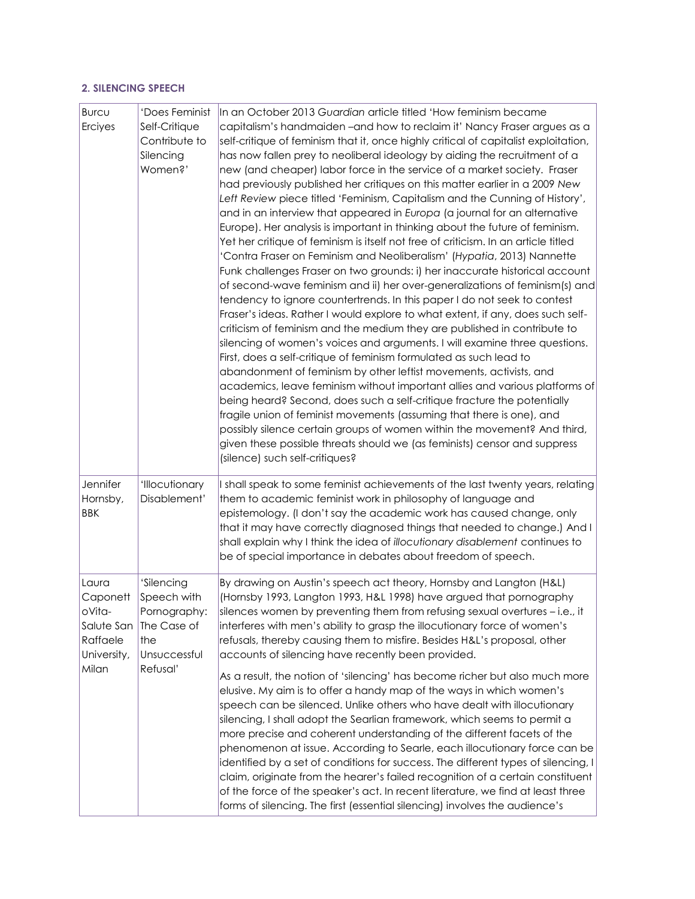#### **2. SILENCING SPEECH**

| Burcu<br>Erciyes                                                     | 'Does Feminist<br>Self-Critique<br>Contribute to<br>Silencing<br>Women?'        | In an October 2013 Guardian article titled 'How feminism became<br>capitalism's handmaiden - and how to reclaim it' Nancy Fraser argues as a<br>self-critique of feminism that it, once highly critical of capitalist exploitation,<br>has now fallen prey to neoliberal ideology by aiding the recruitment of a<br>new (and cheaper) labor force in the service of a market society. Fraser<br>had previously published her critiques on this matter earlier in a 2009 New<br>Left Review piece titled 'Feminism, Capitalism and the Cunning of History',<br>and in an interview that appeared in Europa (a journal for an alternative<br>Europe). Her analysis is important in thinking about the future of feminism.<br>Yet her critique of feminism is itself not free of criticism. In an article titled<br>'Contra Fraser on Feminism and Neoliberalism' (Hypatia, 2013) Nannette<br>Funk challenges Fraser on two grounds: i) her inaccurate historical account<br>of second-wave feminism and ii) her over-generalizations of feminism(s) and<br>tendency to ignore countertrends. In this paper I do not seek to contest<br>Fraser's ideas. Rather I would explore to what extent, if any, does such self-<br>criticism of feminism and the medium they are published in contribute to<br>silencing of women's voices and arguments. I will examine three questions.<br>First, does a self-critique of feminism formulated as such lead to<br>abandonment of feminism by other leftist movements, activists, and<br>academics, leave feminism without important allies and various platforms of<br>being heard? Second, does such a self-critique fracture the potentially<br>fragile union of feminist movements (assuming that there is one), and<br>possibly silence certain groups of women within the movement? And third,<br>given these possible threats should we (as feminists) censor and suppress<br>(silence) such self-critiques? |
|----------------------------------------------------------------------|---------------------------------------------------------------------------------|---------------------------------------------------------------------------------------------------------------------------------------------------------------------------------------------------------------------------------------------------------------------------------------------------------------------------------------------------------------------------------------------------------------------------------------------------------------------------------------------------------------------------------------------------------------------------------------------------------------------------------------------------------------------------------------------------------------------------------------------------------------------------------------------------------------------------------------------------------------------------------------------------------------------------------------------------------------------------------------------------------------------------------------------------------------------------------------------------------------------------------------------------------------------------------------------------------------------------------------------------------------------------------------------------------------------------------------------------------------------------------------------------------------------------------------------------------------------------------------------------------------------------------------------------------------------------------------------------------------------------------------------------------------------------------------------------------------------------------------------------------------------------------------------------------------------------------------------------------------------------------------------------------------------------------------------------------|
| Jennifer<br>Hornsby,<br><b>BBK</b>                                   | 'Illocutionary<br>Disablement'                                                  | I shall speak to some feminist achievements of the last twenty years, relating<br>them to academic feminist work in philosophy of language and<br>epistemology. (I don't say the academic work has caused change, only<br>that it may have correctly diagnosed things that needed to change.) And I<br>shall explain why I think the idea of illocutionary disablement continues to<br>be of special importance in debates about freedom of speech.                                                                                                                                                                                                                                                                                                                                                                                                                                                                                                                                                                                                                                                                                                                                                                                                                                                                                                                                                                                                                                                                                                                                                                                                                                                                                                                                                                                                                                                                                                     |
| Laura<br>Caponett<br>oVita-<br>Salute San<br>Raffaele<br>University, | 'Silencing<br>Speech with<br>Pornography:<br>The Case of<br>the<br>Unsuccessful | By drawing on Austin's speech act theory, Hornsby and Langton (H&L)<br>(Hornsby 1993, Langton 1993, H&L 1998) have argued that pornography<br>silences women by preventing them from refusing sexual overtures – i.e., it<br>interferes with men's ability to grasp the illocutionary force of women's<br>refusals, thereby causing them to misfire. Besides H&L's proposal, other<br>accounts of silencing have recently been provided.                                                                                                                                                                                                                                                                                                                                                                                                                                                                                                                                                                                                                                                                                                                                                                                                                                                                                                                                                                                                                                                                                                                                                                                                                                                                                                                                                                                                                                                                                                                |
| Milan                                                                | Refusal'                                                                        | As a result, the notion of 'silencing' has become richer but also much more<br>elusive. My aim is to offer a handy map of the ways in which women's<br>speech can be silenced. Unlike others who have dealt with illocutionary<br>silencing, I shall adopt the Searlian framework, which seems to permit a<br>more precise and coherent understanding of the different facets of the<br>phenomenon at issue. According to Searle, each illocutionary force can be<br>identified by a set of conditions for success. The different types of silencing, I<br>claim, originate from the hearer's failed recognition of a certain constituent<br>of the force of the speaker's act. In recent literature, we find at least three<br>forms of silencing. The first (essential silencing) involves the audience's                                                                                                                                                                                                                                                                                                                                                                                                                                                                                                                                                                                                                                                                                                                                                                                                                                                                                                                                                                                                                                                                                                                                             |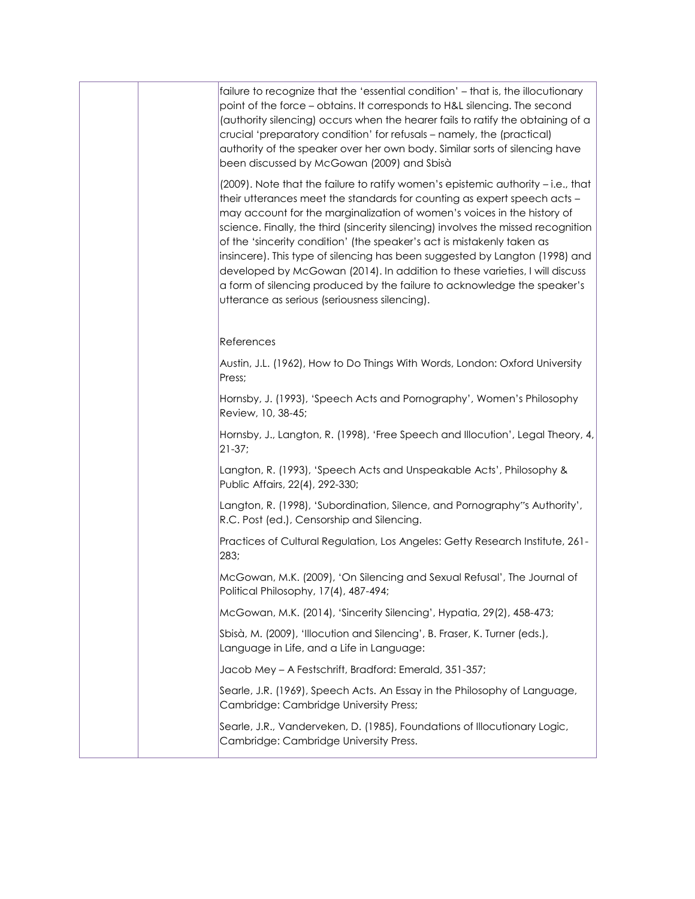| failure to recognize that the 'essential condition' - that is, the illocutionary<br>point of the force - obtains. It corresponds to H&L silencing. The second<br>(authority silencing) occurs when the hearer fails to ratify the obtaining of a<br>crucial 'preparatory condition' for refusals - namely, the (practical)<br>authority of the speaker over her own body. Similar sorts of silencing have<br>been discussed by McGowan (2009) and Sbisà                                                                                                                                                                                                                                           |
|---------------------------------------------------------------------------------------------------------------------------------------------------------------------------------------------------------------------------------------------------------------------------------------------------------------------------------------------------------------------------------------------------------------------------------------------------------------------------------------------------------------------------------------------------------------------------------------------------------------------------------------------------------------------------------------------------|
| (2009). Note that the failure to ratify women's epistemic authority - i.e., that<br>their utterances meet the standards for counting as expert speech acts -<br>may account for the marginalization of women's voices in the history of<br>science. Finally, the third (sincerity silencing) involves the missed recognition<br>of the 'sincerity condition' (the speaker's act is mistakenly taken as<br>insincere). This type of silencing has been suggested by Langton (1998) and<br>developed by McGowan (2014). In addition to these varieties, I will discuss<br>a form of silencing produced by the failure to acknowledge the speaker's<br>utterance as serious (seriousness silencing). |
| References                                                                                                                                                                                                                                                                                                                                                                                                                                                                                                                                                                                                                                                                                        |
| Austin, J.L. (1962), How to Do Things With Words, London: Oxford University<br>Press;                                                                                                                                                                                                                                                                                                                                                                                                                                                                                                                                                                                                             |
| Hornsby, J. (1993), 'Speech Acts and Pornography', Women's Philosophy<br>Review, 10, 38-45;                                                                                                                                                                                                                                                                                                                                                                                                                                                                                                                                                                                                       |
| Hornsby, J., Langton, R. (1998), 'Free Speech and Illocution', Legal Theory, 4,<br>$21 - 37;$                                                                                                                                                                                                                                                                                                                                                                                                                                                                                                                                                                                                     |
| Langton, R. (1993), 'Speech Acts and Unspeakable Acts', Philosophy &<br>Public Affairs, 22(4), 292-330;                                                                                                                                                                                                                                                                                                                                                                                                                                                                                                                                                                                           |
| Langton, R. (1998), 'Subordination, Silence, and Pornography"s Authority',<br>R.C. Post (ed.), Censorship and Silencing.                                                                                                                                                                                                                                                                                                                                                                                                                                                                                                                                                                          |
| Practices of Cultural Regulation, Los Angeles: Getty Research Institute, 261-<br>283;                                                                                                                                                                                                                                                                                                                                                                                                                                                                                                                                                                                                             |
| McGowan, M.K. (2009), 'On Silencing and Sexual Refusal', The Journal of<br>Political Philosophy, 17(4), 487-494;                                                                                                                                                                                                                                                                                                                                                                                                                                                                                                                                                                                  |
| McGowan, M.K. (2014), 'Sincerity Silencing', Hypatia, 29(2), 458-473;                                                                                                                                                                                                                                                                                                                                                                                                                                                                                                                                                                                                                             |
| Sbisà, M. (2009), 'Illocution and Silencing', B. Fraser, K. Turner (eds.),<br>Language in Life, and a Life in Language:                                                                                                                                                                                                                                                                                                                                                                                                                                                                                                                                                                           |
| Jacob Mey - A Festschrift, Bradford: Emerald, 351-357;                                                                                                                                                                                                                                                                                                                                                                                                                                                                                                                                                                                                                                            |
| Searle, J.R. (1969), Speech Acts. An Essay in the Philosophy of Language,<br>Cambridge: Cambridge University Press;                                                                                                                                                                                                                                                                                                                                                                                                                                                                                                                                                                               |
| Searle, J.R., Vanderveken, D. (1985), Foundations of Illocutionary Logic,<br>Cambridge: Cambridge University Press.                                                                                                                                                                                                                                                                                                                                                                                                                                                                                                                                                                               |
|                                                                                                                                                                                                                                                                                                                                                                                                                                                                                                                                                                                                                                                                                                   |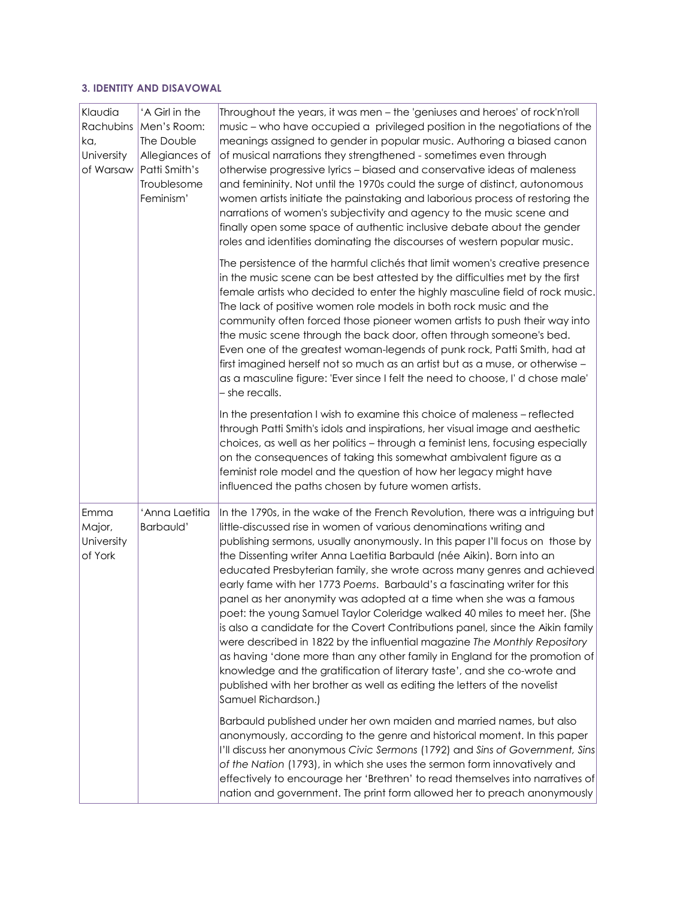#### **3. IDENTITY AND DISAVOWAL**

| Klaudia<br>Rachubins<br>ka,<br>University<br>of Warsaw | 'A Girl in the<br>Men's Room:<br>The Double<br>Allegiances of<br>Patti Smith's<br>Troublesome<br>Feminism' | Throughout the years, it was men - the 'geniuses and heroes' of rock'n'roll<br>music - who have occupied a privileged position in the negotiations of the<br>meanings assigned to gender in popular music. Authoring a biased canon<br>of musical narrations they strengthened - sometimes even through<br>otherwise progressive lyrics - biased and conservative ideas of maleness<br>and femininity. Not until the 1970s could the surge of distinct, autonomous<br>women artists initiate the painstaking and laborious process of restoring the<br>narrations of women's subjectivity and agency to the music scene and<br>finally open some space of authentic inclusive debate about the gender<br>roles and identities dominating the discourses of western popular music.                                                                                                                                                                                                                                                                       |
|--------------------------------------------------------|------------------------------------------------------------------------------------------------------------|---------------------------------------------------------------------------------------------------------------------------------------------------------------------------------------------------------------------------------------------------------------------------------------------------------------------------------------------------------------------------------------------------------------------------------------------------------------------------------------------------------------------------------------------------------------------------------------------------------------------------------------------------------------------------------------------------------------------------------------------------------------------------------------------------------------------------------------------------------------------------------------------------------------------------------------------------------------------------------------------------------------------------------------------------------|
|                                                        |                                                                                                            | The persistence of the harmful clichés that limit women's creative presence<br>in the music scene can be best attested by the difficulties met by the first<br>female artists who decided to enter the highly masculine field of rock music.<br>The lack of positive women role models in both rock music and the<br>community often forced those pioneer women artists to push their way into<br>the music scene through the back door, often through someone's bed.<br>Even one of the greatest woman-legends of punk rock, Patti Smith, had at<br>first imagined herself not so much as an artist but as a muse, or otherwise -<br>as a masculine figure: 'Ever since I felt the need to choose, I' d chose male'<br>- she recalls.                                                                                                                                                                                                                                                                                                                  |
|                                                        |                                                                                                            | In the presentation I wish to examine this choice of maleness - reflected<br>through Patti Smith's idols and inspirations, her visual image and aesthetic<br>choices, as well as her politics - through a feminist lens, focusing especially<br>on the consequences of taking this somewhat ambivalent figure as a<br>feminist role model and the question of how her legacy might have<br>influenced the paths chosen by future women artists.                                                                                                                                                                                                                                                                                                                                                                                                                                                                                                                                                                                                         |
| Emma<br>Major,<br>University<br>of York                | 'Anna Laetitia<br>Barbauld'                                                                                | In the 1790s, in the wake of the French Revolution, there was a intriguing but<br>little-discussed rise in women of various denominations writing and<br>publishing sermons, usually anonymously. In this paper I'll focus on those by<br>the Dissenting writer Anna Laetitia Barbauld (née Aikin). Born into an<br>educated Presbyterian family, she wrote across many genres and achieved<br>early fame with her 1773 Poems. Barbauld's a fascinating writer for this<br>panel as her anonymity was adopted at a time when she was a famous<br>poet: the young Samuel Taylor Coleridge walked 40 miles to meet her. (She<br>is also a candidate for the Covert Contributions panel, since the Aikin family<br>were described in 1822 by the influential magazine The Monthly Repository<br>as having 'done more than any other family in England for the promotion of<br>knowledge and the gratification of literary taste', and she co-wrote and<br>published with her brother as well as editing the letters of the novelist<br>Samuel Richardson.) |
|                                                        |                                                                                                            | Barbauld published under her own maiden and married names, but also<br>anonymously, according to the genre and historical moment. In this paper<br>I'll discuss her anonymous Civic Sermons (1792) and Sins of Government, Sins<br>of the Nation (1793), in which she uses the sermon form innovatively and<br>effectively to encourage her 'Brethren' to read themselves into narratives of<br>nation and government. The print form allowed her to preach anonymously                                                                                                                                                                                                                                                                                                                                                                                                                                                                                                                                                                                 |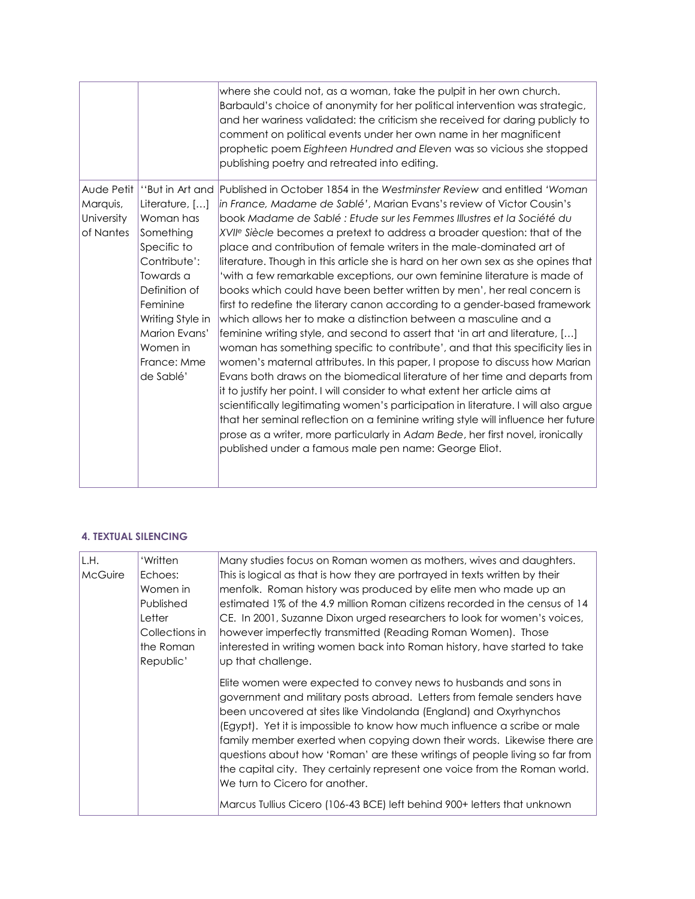|            |                          | where she could not, as a woman, take the pulpit in her own church.<br>Barbauld's choice of anonymity for her political intervention was strategic,<br>and her wariness validated: the criticism she received for daring publicly to<br>comment on political events under her own name in her magnificent<br>prophetic poem Eighteen Hundred and Eleven was so vicious she stopped<br>publishing poetry and retreated into editing. |
|------------|--------------------------|-------------------------------------------------------------------------------------------------------------------------------------------------------------------------------------------------------------------------------------------------------------------------------------------------------------------------------------------------------------------------------------------------------------------------------------|
| Aude Petit |                          | "But in Art and Published in October 1854 in the Westminster Review and entitled 'Woman'                                                                                                                                                                                                                                                                                                                                            |
| Marquis,   | Literature, []           | in France, Madame de Sablé', Marian Evans's review of Victor Cousin's                                                                                                                                                                                                                                                                                                                                                               |
| University | Woman has                | book Madame de Sablé : Etude sur les Femmes Illustres et la Société du                                                                                                                                                                                                                                                                                                                                                              |
| of Nantes  | Something                | XVII <sup>e</sup> Siècle becomes a pretext to address a broader question: that of the                                                                                                                                                                                                                                                                                                                                               |
|            | Specific to              | place and contribution of female writers in the male-dominated art of                                                                                                                                                                                                                                                                                                                                                               |
|            | Contribute':             | literature. Though in this article she is hard on her own sex as she opines that                                                                                                                                                                                                                                                                                                                                                    |
|            | Towards a                | 'with a few remarkable exceptions, our own feminine literature is made of                                                                                                                                                                                                                                                                                                                                                           |
|            | Definition of            | books which could have been better written by men', her real concern is                                                                                                                                                                                                                                                                                                                                                             |
|            | Feminine                 | first to redefine the literary canon according to a gender-based framework                                                                                                                                                                                                                                                                                                                                                          |
|            | Writing Style in         | which allows her to make a distinction between a masculine and a                                                                                                                                                                                                                                                                                                                                                                    |
|            | Marion Evans'            | feminine writing style, and second to assert that 'in art and literature, []                                                                                                                                                                                                                                                                                                                                                        |
|            | Women in                 | woman has something specific to contribute', and that this specificity lies in                                                                                                                                                                                                                                                                                                                                                      |
|            | France: Mme<br>de Sablé' | women's maternal attributes. In this paper, I propose to discuss how Marian<br>Evans both draws on the biomedical literature of her time and departs from                                                                                                                                                                                                                                                                           |
|            |                          | it to justify her point. I will consider to what extent her article aims at                                                                                                                                                                                                                                                                                                                                                         |
|            |                          | scientifically legitimating women's participation in literature. I will also argue                                                                                                                                                                                                                                                                                                                                                  |
|            |                          | that her seminal reflection on a feminine writing style will influence her future                                                                                                                                                                                                                                                                                                                                                   |
|            |                          | prose as a writer, more particularly in Adam Bede, her first novel, ironically                                                                                                                                                                                                                                                                                                                                                      |
|            |                          | published under a famous male pen name: George Eliot.                                                                                                                                                                                                                                                                                                                                                                               |
|            |                          |                                                                                                                                                                                                                                                                                                                                                                                                                                     |
|            |                          |                                                                                                                                                                                                                                                                                                                                                                                                                                     |
|            |                          |                                                                                                                                                                                                                                                                                                                                                                                                                                     |

#### **4. TEXTUAL SILENCING**

| L.H.<br><b>McGuire</b> | 'Written<br>Echoes:<br>Women in<br>Published<br>Letter<br>Collections in<br>the Roman<br>Republic' | Many studies focus on Roman women as mothers, wives and daughters.<br>This is logical as that is how they are portrayed in texts written by their<br>menfolk. Roman history was produced by elite men who made up an<br>lestimated 1% of the 4.9 million Roman citizens recorded in the census of 14<br>CE. In 2001, Suzanne Dixon urged researchers to look for women's voices,<br>however imperfectly transmitted (Reading Roman Women). Those<br>interested in writing women back into Roman history, have started to take<br>up that challenge.                                                                                                |
|------------------------|----------------------------------------------------------------------------------------------------|----------------------------------------------------------------------------------------------------------------------------------------------------------------------------------------------------------------------------------------------------------------------------------------------------------------------------------------------------------------------------------------------------------------------------------------------------------------------------------------------------------------------------------------------------------------------------------------------------------------------------------------------------|
|                        |                                                                                                    | Elite women were expected to convey news to husbands and sons in<br>government and military posts abroad. Letters from female senders have<br>been uncovered at sites like Vindolanda (England) and Oxyrhynchos<br>(Egypt). Yet it is impossible to know how much influence a scribe or male<br>family member exerted when copying down their words. Likewise there are<br>questions about how 'Roman' are these writings of people living so far from<br>the capital city. They certainly represent one voice from the Roman world.<br>We turn to Cicero for another.<br>Marcus Tullius Cicero (106-43 BCE) left behind 900+ letters that unknown |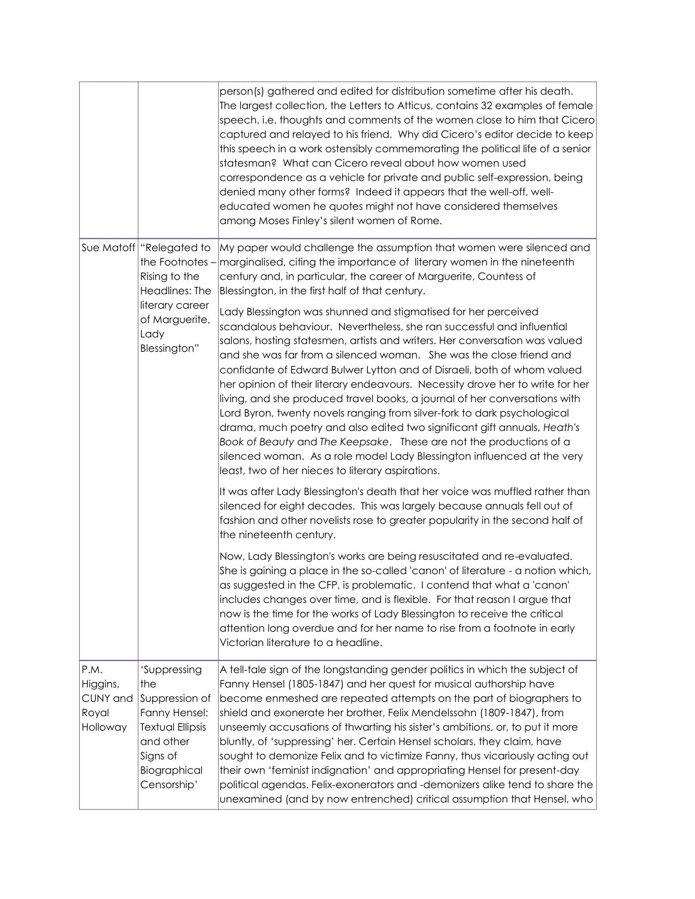|                                                   |                                                                                                                                               | person(s) gathered and edited for distribution sometime after his death.<br>The largest collection, the Letters to Atticus, contains 32 examples of female<br>speech, i.e. thoughts and comments of the women close to him that Cicero<br>captured and relayed to his friend. Why did Cicero's editor decide to keep<br>this speech in a work ostensibly commemorating the political life of a senior<br>statesman? What can Cicero reveal about how women used<br>correspondence as a vehicle for private and public self-expression, being<br>denied many other forms? Indeed it appears that the well-off, well-<br>educated women he quotes might not have considered themselves<br>among Moses Finley's silent women of Rome.                                                                                                                                                                                                                                                                                                                                                                                                                                                                                                                                                                                                                                                                                                                                                                                                                                                                                                                                                                                                                                                                                                                                                                                                                                             |
|---------------------------------------------------|-----------------------------------------------------------------------------------------------------------------------------------------------|--------------------------------------------------------------------------------------------------------------------------------------------------------------------------------------------------------------------------------------------------------------------------------------------------------------------------------------------------------------------------------------------------------------------------------------------------------------------------------------------------------------------------------------------------------------------------------------------------------------------------------------------------------------------------------------------------------------------------------------------------------------------------------------------------------------------------------------------------------------------------------------------------------------------------------------------------------------------------------------------------------------------------------------------------------------------------------------------------------------------------------------------------------------------------------------------------------------------------------------------------------------------------------------------------------------------------------------------------------------------------------------------------------------------------------------------------------------------------------------------------------------------------------------------------------------------------------------------------------------------------------------------------------------------------------------------------------------------------------------------------------------------------------------------------------------------------------------------------------------------------------------------------------------------------------------------------------------------------------|
|                                                   | Sue Matoff   "Relegated to<br>the Footnotes -<br>Rising to the<br>Headlines: The<br>literary career<br>of Marguerite,<br>Lady<br>Blessington" | My paper would challenge the assumption that women were silenced and<br>marginalised, citing the importance of literary women in the nineteenth<br>century and, in particular, the career of Marguerite, Countess of<br>Blessington, in the first half of that century.<br>Lady Blessington was shunned and stigmatised for her perceived<br>scandalous behaviour. Nevertheless, she ran successful and influential<br>salons, hosting statesmen, artists and writers. Her conversation was valued<br>and she was far from a silenced woman. She was the close friend and<br>confidante of Edward Bulwer Lytton and of Disraeli, both of whom valued<br>her opinion of their literary endeavours. Necessity drove her to write for her<br>living, and she produced travel books, a journal of her conversations with<br>Lord Byron, twenty novels ranging from silver-fork to dark psychological<br>drama, much poetry and also edited two significant gift annuals, Heath's<br>Book of Beauty and The Keepsake. These are not the productions of a<br>silenced woman. As a role model Lady Blessington influenced at the very<br>least, two of her nieces to literary aspirations.<br>It was after Lady Blessington's death that her voice was muffled rather than<br>silenced for eight decades. This was largely because annuals fell out of<br>fashion and other novelists rose to greater popularity in the second half of<br>the nineteenth century.<br>Now, Lady Blessington's works are being resuscitated and re-evaluated.<br>She is gaining a place in the so-called 'canon' of literature - a notion which,<br>as suggested in the CFP, is problematic. I contend that what a 'canon'<br>includes changes over time, and is flexible. For that reason I argue that<br>now is the time for the works of Lady Blessington to receive the critical<br>attention long overdue and for her name to rise from a footnote in early<br>Victorian literature to a headline. |
| P.M.<br>Higgins,<br>CUNY and<br>Royal<br>Holloway | 'Suppressing<br>the<br>Suppression of<br>Fanny Hensel:<br><b>Textual Ellipsis</b><br>and other<br>Signs of<br>Biographical<br>Censorship'     | A tell-tale sign of the longstanding gender politics in which the subject of<br>Fanny Hensel (1805-1847) and her quest for musical authorship have<br>become enmeshed are repeated attempts on the part of biographers to<br>shield and exonerate her brother, Felix Mendelssohn (1809-1847), from<br>unseemly accusations of thwarting his sister's ambitions, or, to put it more<br>bluntly, of 'suppressing' her. Certain Hensel scholars, they claim, have<br>sought to demonize Felix and to victimize Fanny, thus vicariously acting out<br>their own 'feminist indignation' and appropriating Hensel for present-day<br>political agendas. Felix-exonerators and -demonizers alike tend to share the<br>unexamined (and by now entrenched) critical assumption that Hensel, who                                                                                                                                                                                                                                                                                                                                                                                                                                                                                                                                                                                                                                                                                                                                                                                                                                                                                                                                                                                                                                                                                                                                                                                         |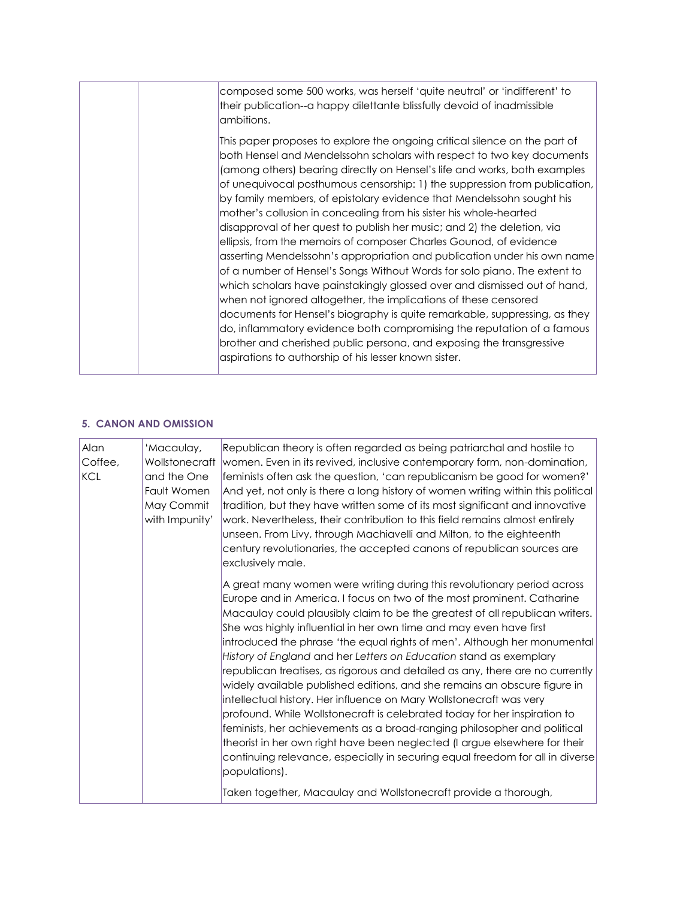| composed some 500 works, was herself 'quite neutral' or 'indifferent' to<br>their publication--a happy dilettante blissfully devoid of inadmissible<br>ambitions.                                                                                                                                                                                                                                                                                                                                                                                                                                                                                                                                                                                                                                                                                                                                                                                                                                                                                                                                                                                                                                                 |  |
|-------------------------------------------------------------------------------------------------------------------------------------------------------------------------------------------------------------------------------------------------------------------------------------------------------------------------------------------------------------------------------------------------------------------------------------------------------------------------------------------------------------------------------------------------------------------------------------------------------------------------------------------------------------------------------------------------------------------------------------------------------------------------------------------------------------------------------------------------------------------------------------------------------------------------------------------------------------------------------------------------------------------------------------------------------------------------------------------------------------------------------------------------------------------------------------------------------------------|--|
| This paper proposes to explore the ongoing critical silence on the part of<br>both Hensel and Mendelssohn scholars with respect to two key documents<br>(among others) bearing directly on Hensel's life and works, both examples<br>of unequivocal posthumous censorship: 1) the suppression from publication,<br>by family members, of epistolary evidence that Mendelssohn sought his<br>mother's collusion in concealing from his sister his whole-hearted<br>disapproval of her quest to publish her music; and 2) the deletion, via<br>ellipsis, from the memoirs of composer Charles Gounod, of evidence<br>asserting Mendelssohn's appropriation and publication under his own name<br>of a number of Hensel's Songs Without Words for solo piano. The extent to<br>which scholars have painstakingly glossed over and dismissed out of hand,<br>when not ignored altogether, the implications of these censored<br>documents for Hensel's biography is quite remarkable, suppressing, as they<br>do, inflammatory evidence both compromising the reputation of a famous<br>brother and cherished public persona, and exposing the transgressive<br>aspirations to authorship of his lesser known sister. |  |
|                                                                                                                                                                                                                                                                                                                                                                                                                                                                                                                                                                                                                                                                                                                                                                                                                                                                                                                                                                                                                                                                                                                                                                                                                   |  |

#### **5. CANON AND OMISSION**

| Alan<br>Coffee,<br>KCL | 'Macaulay,<br>Wollstonecraft<br>and the One<br>Fault Women<br>May Commit<br>with Impunity' | Republican theory is often regarded as being patriarchal and hostile to<br>women. Even in its revived, inclusive contemporary form, non-domination,<br>feminists often ask the question, 'can republicanism be good for women?'<br>And yet, not only is there a long history of women writing within this political<br>tradition, but they have written some of its most significant and innovative<br>work. Nevertheless, their contribution to this field remains almost entirely<br>unseen. From Livy, through Machiavelli and Milton, to the eighteenth<br>century revolutionaries, the accepted canons of republican sources are<br>exclusively male.                                                                                                                                                                                                                                                                                                                                                                              |
|------------------------|--------------------------------------------------------------------------------------------|-----------------------------------------------------------------------------------------------------------------------------------------------------------------------------------------------------------------------------------------------------------------------------------------------------------------------------------------------------------------------------------------------------------------------------------------------------------------------------------------------------------------------------------------------------------------------------------------------------------------------------------------------------------------------------------------------------------------------------------------------------------------------------------------------------------------------------------------------------------------------------------------------------------------------------------------------------------------------------------------------------------------------------------------|
|                        |                                                                                            | A great many women were writing during this revolutionary period across<br>Europe and in America. I focus on two of the most prominent. Catharine<br>Macaulay could plausibly claim to be the greatest of all republican writers.<br>She was highly influential in her own time and may even have first<br>introduced the phrase 'the equal rights of men'. Although her monumental<br>History of England and her Letters on Education stand as exemplary<br>republican treatises, as rigorous and detailed as any, there are no currently<br>widely available published editions, and she remains an obscure figure in<br>intellectual history. Her influence on Mary Wollstonecraft was very<br>profound. While Wollstonecraft is celebrated today for her inspiration to<br>feminists, her achievements as a broad-ranging philosopher and political<br>theorist in her own right have been neglected (I argue elsewhere for their<br>continuing relevance, especially in securing equal freedom for all in diverse<br>populations). |
|                        |                                                                                            | Taken together, Macaulay and Wollstonecraft provide a thorough,                                                                                                                                                                                                                                                                                                                                                                                                                                                                                                                                                                                                                                                                                                                                                                                                                                                                                                                                                                         |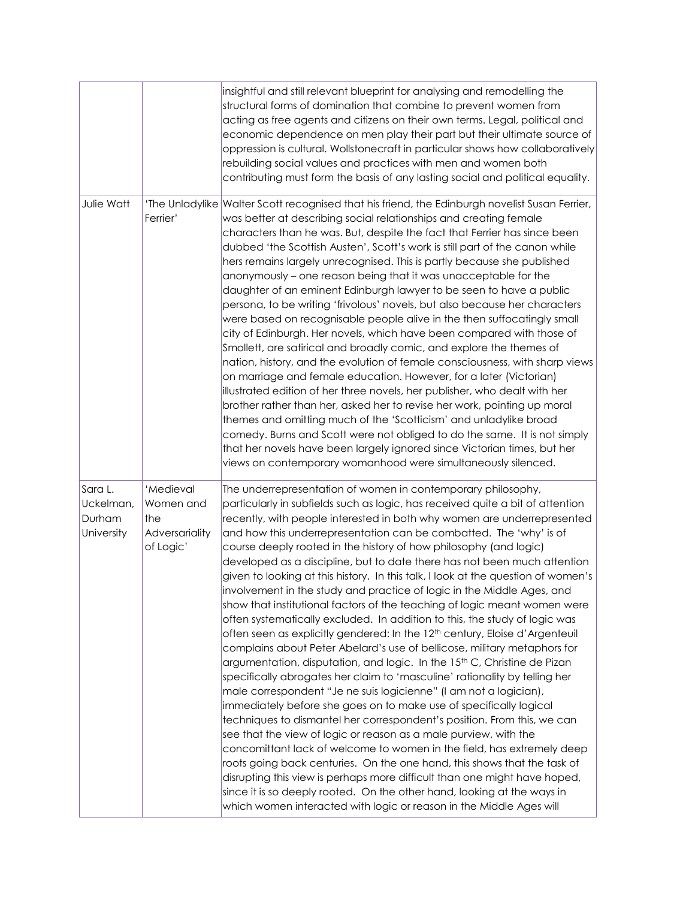|                                              |                                                              | insightful and still relevant blueprint for analysing and remodelling the<br>structural forms of domination that combine to prevent women from<br>acting as free agents and citizens on their own terms. Legal, political and<br>economic dependence on men play their part but their ultimate source of<br>oppression is cultural. Wollstonecraft in particular shows how collaboratively<br>rebuilding social values and practices with men and women both<br>contributing must form the basis of any lasting social and political equality.                                                                                                                                                                                                                                                                                                                                                                                                                                                                                                                                                                                                                                                                                                                                                                                                                                                                                                                                                                                                                                                                                                                                                                                                                                                         |
|----------------------------------------------|--------------------------------------------------------------|--------------------------------------------------------------------------------------------------------------------------------------------------------------------------------------------------------------------------------------------------------------------------------------------------------------------------------------------------------------------------------------------------------------------------------------------------------------------------------------------------------------------------------------------------------------------------------------------------------------------------------------------------------------------------------------------------------------------------------------------------------------------------------------------------------------------------------------------------------------------------------------------------------------------------------------------------------------------------------------------------------------------------------------------------------------------------------------------------------------------------------------------------------------------------------------------------------------------------------------------------------------------------------------------------------------------------------------------------------------------------------------------------------------------------------------------------------------------------------------------------------------------------------------------------------------------------------------------------------------------------------------------------------------------------------------------------------------------------------------------------------------------------------------------------------|
| Julie Watt                                   | Ferrier'                                                     | 'The Unladylike Walter Scott recognised that his friend, the Edinburgh novelist Susan Ferrier,<br>was better at describing social relationships and creating female<br>characters than he was. But, despite the fact that Ferrier has since been<br>dubbed 'the Scottish Austen', Scott's work is still part of the canon while<br>hers remains largely unrecognised. This is partly because she published<br>anonymously - one reason being that it was unacceptable for the<br>daughter of an eminent Edinburgh lawyer to be seen to have a public<br>persona, to be writing 'frivolous' novels, but also because her characters<br>were based on recognisable people alive in the then suffocatingly small<br>city of Edinburgh. Her novels, which have been compared with those of<br>Smollett, are satirical and broadly comic, and explore the themes of<br>nation, history, and the evolution of female consciousness, with sharp views<br>on marriage and female education. However, for a later (Victorian)<br>illustrated edition of her three novels, her publisher, who dealt with her<br>brother rather than her, asked her to revise her work, pointing up moral<br>themes and omitting much of the 'Scotticism' and unladylike broad<br>comedy. Burns and Scott were not obliged to do the same. It is not simply<br>that her novels have been largely ignored since Victorian times, but her<br>views on contemporary womanhood were simultaneously silenced.                                                                                                                                                                                                                                                                                                                          |
| Sara L.<br>Uckelman,<br>Durham<br>University | 'Medieval<br>Women and<br>the<br>Adversariality<br>of Logic' | The underrepresentation of women in contemporary philosophy,<br>particularly in subfields such as logic, has received quite a bit of attention<br>recently, with people interested in both why women are underrepresented<br>and how this underrepresentation can be combatted. The 'why' is of<br>course deeply rooted in the history of how philosophy (and logic)<br>developed as a discipline, but to date there has not been much attention<br>given to looking at this history. In this talk, I look at the question of women's<br>involvement in the study and practice of logic in the Middle Ages, and<br>show that institutional factors of the teaching of logic meant women were<br>often systematically excluded. In addition to this, the study of logic was<br>often seen as explicitly gendered: In the 12 <sup>th</sup> century, Eloise d'Argenteuil<br>complains about Peter Abelard's use of bellicose, military metaphors for<br>argumentation, disputation, and logic. In the 15 <sup>th</sup> C, Christine de Pizan<br>specifically abrogates her claim to 'masculine' rationality by telling her<br>male correspondent "Je ne suis logicienne" (I am not a logician),<br>immediately before she goes on to make use of specifically logical<br>techniques to dismantel her correspondent's position. From this, we can<br>see that the view of logic or reason as a male purview, with the<br>concomittant lack of welcome to women in the field, has extremely deep<br>roots going back centuries. On the one hand, this shows that the task of<br>disrupting this view is perhaps more difficult than one might have hoped,<br>since it is so deeply rooted. On the other hand, looking at the ways in<br>which women interacted with logic or reason in the Middle Ages will |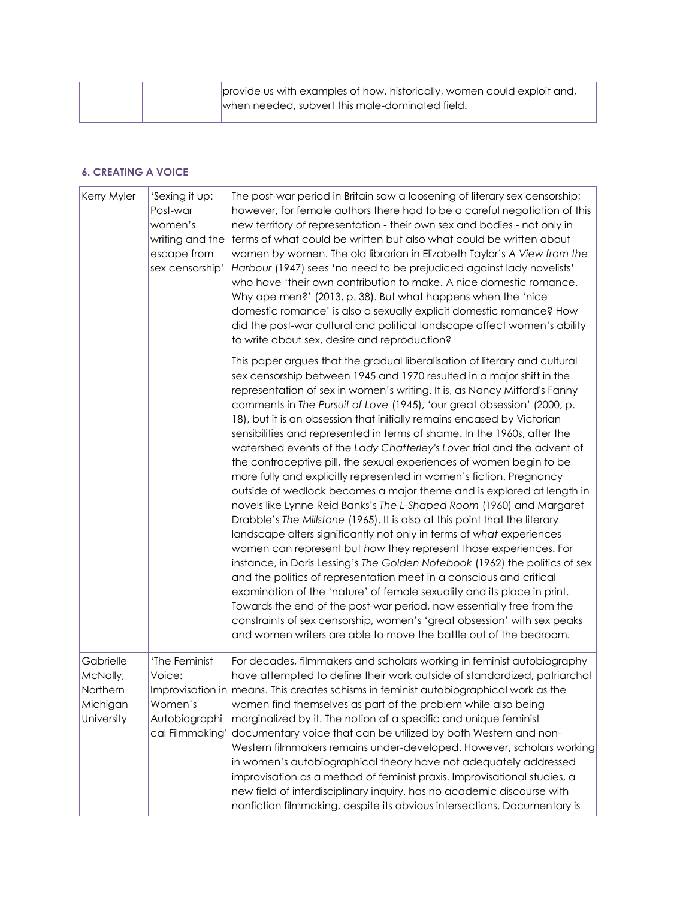| provide us with examples of how, historically, women could exploit and, |
|-------------------------------------------------------------------------|
| when needed, subvert this male-dominated field.                         |
|                                                                         |

#### **6. CREATING A VOICE**

| Kerry Myler                                                 | 'Sexing it up:<br>Post-war<br>women's<br>writing and the<br>escape from<br>sex censorship' | The post-war period in Britain saw a loosening of literary sex censorship;<br>however, for female authors there had to be a careful negotiation of this<br>new territory of representation - their own sex and bodies - not only in<br>terms of what could be written but also what could be written about<br>women by women. The old librarian in Elizabeth Taylor's A View from the<br>Harbour (1947) sees 'no need to be prejudiced against lady novelists'<br>who have 'their own contribution to make. A nice domestic romance.<br>Why ape men?' (2013, p. 38). But what happens when the 'nice<br>domestic romance' is also a sexually explicit domestic romance? How<br>did the post-war cultural and political landscape affect women's ability<br>to write about sex, desire and reproduction?                                                                                                                                                                                                                                                                                                                                                                                                                                                                                                                                                                                                                                                                                                                           |
|-------------------------------------------------------------|--------------------------------------------------------------------------------------------|-----------------------------------------------------------------------------------------------------------------------------------------------------------------------------------------------------------------------------------------------------------------------------------------------------------------------------------------------------------------------------------------------------------------------------------------------------------------------------------------------------------------------------------------------------------------------------------------------------------------------------------------------------------------------------------------------------------------------------------------------------------------------------------------------------------------------------------------------------------------------------------------------------------------------------------------------------------------------------------------------------------------------------------------------------------------------------------------------------------------------------------------------------------------------------------------------------------------------------------------------------------------------------------------------------------------------------------------------------------------------------------------------------------------------------------------------------------------------------------------------------------------------------------|
|                                                             |                                                                                            | This paper argues that the gradual liberalisation of literary and cultural<br>sex censorship between 1945 and 1970 resulted in a major shift in the<br>representation of sex in women's writing. It is, as Nancy Mitford's Fanny<br>comments in The Pursuit of Love (1945), 'our great obsession' (2000, p.<br>18), but it is an obsession that initially remains encased by Victorian<br>sensibilities and represented in terms of shame. In the 1960s, after the<br>watershed events of the Lady Chatterley's Lover trial and the advent of<br>the contraceptive pill, the sexual experiences of women begin to be<br>more fully and explicitly represented in women's fiction. Pregnancy<br>outside of wedlock becomes a major theme and is explored at length in<br>novels like Lynne Reid Banks's The L-Shaped Room (1960) and Margaret<br>Drabble's The Millstone (1965). It is also at this point that the literary<br>landscape alters significantly not only in terms of what experiences<br>women can represent but how they represent those experiences. For<br>instance, in Doris Lessing's The Golden Notebook (1962) the politics of sex<br>and the politics of representation meet in a conscious and critical<br>examination of the 'nature' of female sexuality and its place in print.<br>Towards the end of the post-war period, now essentially free from the<br>constraints of sex censorship, women's 'great obsession' with sex peaks<br>and women writers are able to move the battle out of the bedroom. |
| Gabrielle<br>McNally,<br>Northern<br>Michigan<br>University | 'The Feminist<br>Voice:<br>Women's<br>Autobiographi<br>cal Filmmaking'                     | For decades, filmmakers and scholars working in feminist autobiography<br>have attempted to define their work outside of standardized, patriarchal<br>Improvisation in means. This creates schisms in feminist autobiographical work as the<br>women find themselves as part of the problem while also being<br>marginalized by it. The notion of a specific and unique feminist<br>documentary voice that can be utilized by both Western and non-<br>Western filmmakers remains under-developed. However, scholars working<br>in women's autobiographical theory have not adequately addressed<br>improvisation as a method of feminist praxis. Improvisational studies, a<br>new field of interdisciplinary inquiry, has no academic discourse with<br>nonfiction filmmaking, despite its obvious intersections. Documentary is                                                                                                                                                                                                                                                                                                                                                                                                                                                                                                                                                                                                                                                                                                |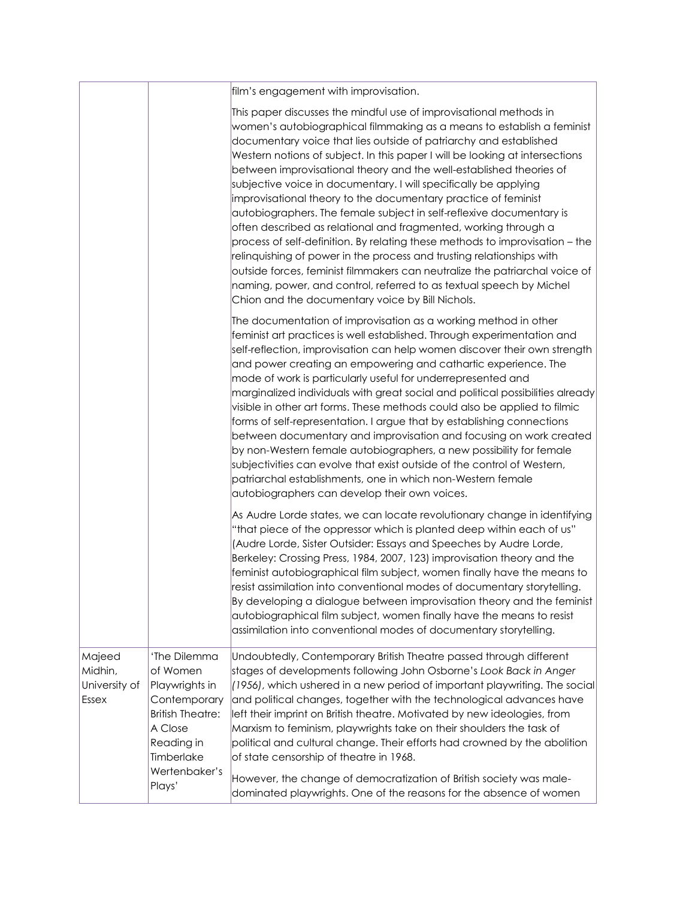|                                             |                                                                                                                              | film's engagement with improvisation.                                                                                                                                                                                                                                                                                                                                                                                                                                                                                                                                                                                                                                                                                                                                                                                                                                                                                                                                                                                        |
|---------------------------------------------|------------------------------------------------------------------------------------------------------------------------------|------------------------------------------------------------------------------------------------------------------------------------------------------------------------------------------------------------------------------------------------------------------------------------------------------------------------------------------------------------------------------------------------------------------------------------------------------------------------------------------------------------------------------------------------------------------------------------------------------------------------------------------------------------------------------------------------------------------------------------------------------------------------------------------------------------------------------------------------------------------------------------------------------------------------------------------------------------------------------------------------------------------------------|
|                                             |                                                                                                                              | This paper discusses the mindful use of improvisational methods in<br>women's autobiographical filmmaking as a means to establish a feminist<br>documentary voice that lies outside of patriarchy and established<br>Western notions of subject. In this paper I will be looking at intersections<br>between improvisational theory and the well-established theories of<br>subjective voice in documentary. I will specifically be applying<br>improvisational theory to the documentary practice of feminist<br>autobiographers. The female subject in self-reflexive documentary is<br>often described as relational and fragmented, working through a<br>process of self-definition. By relating these methods to improvisation - the<br>relinquishing of power in the process and trusting relationships with<br>outside forces, feminist filmmakers can neutralize the patriarchal voice of<br>naming, power, and control, referred to as textual speech by Michel<br>Chion and the documentary voice by Bill Nichols. |
|                                             |                                                                                                                              | The documentation of improvisation as a working method in other<br>feminist art practices is well established. Through experimentation and<br>self-reflection, improvisation can help women discover their own strength<br>and power creating an empowering and cathartic experience. The<br>mode of work is particularly useful for underrepresented and<br>marginalized individuals with great social and political possibilities already<br>visible in other art forms. These methods could also be applied to filmic<br>forms of self-representation. I argue that by establishing connections<br>between documentary and improvisation and focusing on work created<br>by non-Western female autobiographers, a new possibility for female<br>subjectivities can evolve that exist outside of the control of Western,<br>patriarchal establishments, one in which non-Western female<br>autobiographers can develop their own voices.                                                                                   |
|                                             |                                                                                                                              | As Audre Lorde states, we can locate revolutionary change in identifying<br>"that piece of the oppressor which is planted deep within each of us"<br>(Audre Lorde, Sister Outsider: Essays and Speeches by Audre Lorde,<br>Berkeley: Crossing Press, 1984, 2007, 123) improvisation theory and the<br>feminist autobiographical film subject, women finally have the means to<br>resist assimilation into conventional modes of documentary storytelling<br>By developing a dialogue between improvisation theory and the feminist<br>autobiographical film subject, women finally have the means to resist<br>assimilation into conventional modes of documentary storytelling.                                                                                                                                                                                                                                                                                                                                             |
| Majeed<br>Midhin,<br>University of<br>Essex | 'The Dilemma<br>of Women<br>Playwrights in<br>Contemporary<br><b>British Theatre:</b><br>A Close<br>Reading in<br>Timberlake | Undoubtedly, Contemporary British Theatre passed through different<br>stages of developments following John Osborne's Look Back in Anger<br>(1956), which ushered in a new period of important playwriting. The social<br>and political changes, together with the technological advances have<br>left their imprint on British theatre. Motivated by new ideologies, from<br>Marxism to feminism, playwrights take on their shoulders the task of<br>political and cultural change. Their efforts had crowned by the abolition<br>of state censorship of theatre in 1968.                                                                                                                                                                                                                                                                                                                                                                                                                                                   |
|                                             | Wertenbaker's<br>Plays'                                                                                                      | However, the change of democratization of British society was male-<br>dominated playwrights. One of the reasons for the absence of women                                                                                                                                                                                                                                                                                                                                                                                                                                                                                                                                                                                                                                                                                                                                                                                                                                                                                    |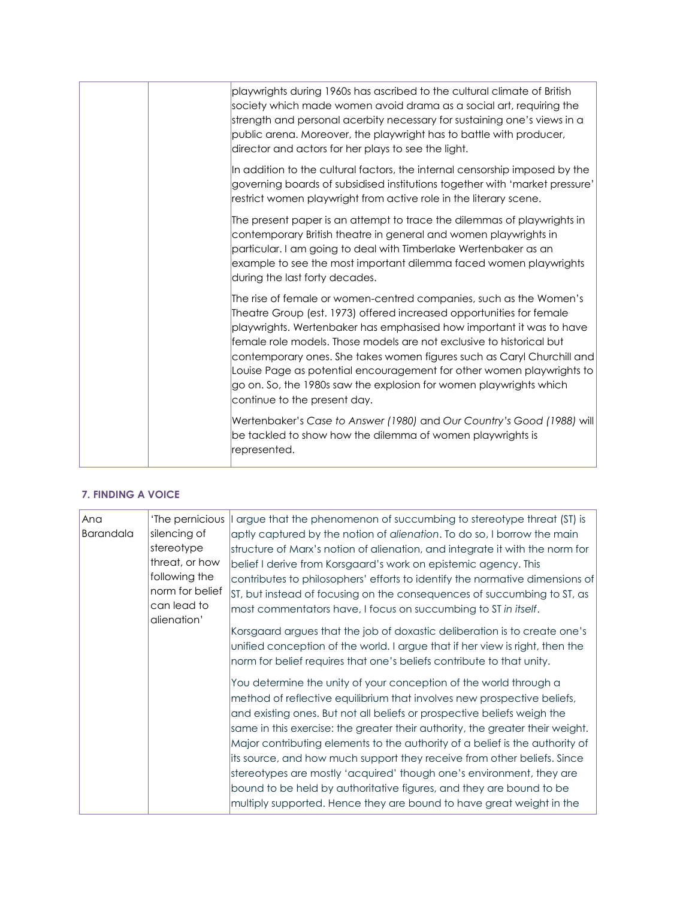| playwrights during 1960s has ascribed to the cultural climate of British<br>society which made women avoid drama as a social art, requiring the<br>strength and personal acerbity necessary for sustaining one's views in a<br>public arena. Moreover, the playwright has to battle with producer,<br>director and actors for her plays to see the light.                                                                                                                                                                                           |
|-----------------------------------------------------------------------------------------------------------------------------------------------------------------------------------------------------------------------------------------------------------------------------------------------------------------------------------------------------------------------------------------------------------------------------------------------------------------------------------------------------------------------------------------------------|
| In addition to the cultural factors, the internal censorship imposed by the<br>governing boards of subsidised institutions together with 'market pressure'<br>restrict women playwright from active role in the literary scene.                                                                                                                                                                                                                                                                                                                     |
| The present paper is an attempt to trace the dilemmas of playwrights in<br>contemporary British theatre in general and women playwrights in<br>particular. I am going to deal with Timberlake Wertenbaker as an<br>example to see the most important dilemma faced women playwrights<br>during the last forty decades.                                                                                                                                                                                                                              |
| The rise of female or women-centred companies, such as the Women's<br>Theatre Group (est. 1973) offered increased opportunities for female<br>playwrights. Wertenbaker has emphasised how important it was to have<br>female role models. Those models are not exclusive to historical but<br>contemporary ones. She takes women figures such as Caryl Churchill and<br>Louise Page as potential encouragement for other women playwrights to<br>go on. So, the 1980s saw the explosion for women playwrights which<br>continue to the present day. |
| Wertenbaker's Case to Answer (1980) and Our Country's Good (1988) will<br>be tackled to show how the dilemma of women playwrights is<br>represented.                                                                                                                                                                                                                                                                                                                                                                                                |

#### **7. FINDING A VOICE**

| Ana              | 'The pernicious            | argue that the phenomenon of succumbing to stereotype threat (ST) is          |
|------------------|----------------------------|-------------------------------------------------------------------------------|
| <b>Barandala</b> | silencing of               | aptly captured by the notion of alienation. To do so, I borrow the main       |
|                  | stereotype                 | structure of Marx's notion of alienation, and integrate it with the norm for  |
|                  | threat, or how             | belief I derive from Korsgaard's work on epistemic agency. This               |
|                  | following the              | contributes to philosophers' efforts to identify the normative dimensions of  |
|                  | norm for belief            | ST, but instead of focusing on the consequences of succumbing to ST, as       |
|                  | can lead to<br>alienation' | most commentators have, I focus on succumbing to ST in itself.                |
|                  |                            | Korsgaard argues that the job of doxastic deliberation is to create one's     |
|                  |                            | unified conception of the world. I argue that if her view is right, then the  |
|                  |                            | norm for belief requires that one's beliefs contribute to that unity.         |
|                  |                            | You determine the unity of your conception of the world through a             |
|                  |                            | method of reflective equilibrium that involves new prospective beliefs,       |
|                  |                            | and existing ones. But not all beliefs or prospective beliefs weigh the       |
|                  |                            | same in this exercise: the greater their authority, the greater their weight. |
|                  |                            | Major contributing elements to the authority of a belief is the authority of  |
|                  |                            | lits source, and how much support they receive from other beliefs. Since      |
|                  |                            | stereotypes are mostly 'acquired' though one's environment, they are          |
|                  |                            | bound to be held by authoritative figures, and they are bound to be           |
|                  |                            | multiply supported. Hence they are bound to have great weight in the          |
|                  |                            |                                                                               |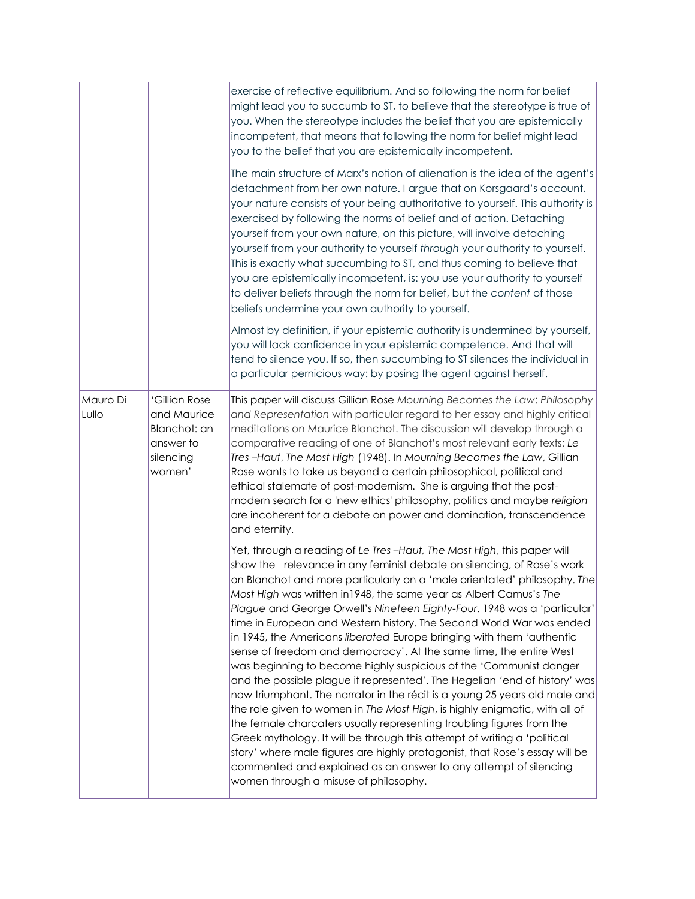|                   |                                                                                  | exercise of reflective equilibrium. And so following the norm for belief<br>might lead you to succumb to ST, to believe that the stereotype is true of<br>you. When the stereotype includes the belief that you are epistemically<br>incompetent, that means that following the norm for belief might lead<br>you to the belief that you are epistemically incompetent.                                                                                                                                                                                                                                                                                                                                                                                                                                                                                                                                                                                                                                                                                                                                                                                                                                                                                               |
|-------------------|----------------------------------------------------------------------------------|-----------------------------------------------------------------------------------------------------------------------------------------------------------------------------------------------------------------------------------------------------------------------------------------------------------------------------------------------------------------------------------------------------------------------------------------------------------------------------------------------------------------------------------------------------------------------------------------------------------------------------------------------------------------------------------------------------------------------------------------------------------------------------------------------------------------------------------------------------------------------------------------------------------------------------------------------------------------------------------------------------------------------------------------------------------------------------------------------------------------------------------------------------------------------------------------------------------------------------------------------------------------------|
|                   |                                                                                  | The main structure of Marx's notion of alienation is the idea of the agent's<br>detachment from her own nature. I argue that on Korsgaard's account,<br>your nature consists of your being authoritative to yourself. This authority is<br>exercised by following the norms of belief and of action. Detaching<br>yourself from your own nature, on this picture, will involve detaching<br>yourself from your authority to yourself through your authority to yourself.<br>This is exactly what succumbing to ST, and thus coming to believe that<br>you are epistemically incompetent, is: you use your authority to yourself<br>to deliver beliefs through the norm for belief, but the content of those<br>beliefs undermine your own authority to yourself.                                                                                                                                                                                                                                                                                                                                                                                                                                                                                                      |
|                   |                                                                                  | Almost by definition, if your epistemic authority is undermined by yourself,<br>you will lack confidence in your epistemic competence. And that will<br>tend to silence you. If so, then succumbing to ST silences the individual in<br>a particular pernicious way: by posing the agent against herself.                                                                                                                                                                                                                                                                                                                                                                                                                                                                                                                                                                                                                                                                                                                                                                                                                                                                                                                                                             |
| Mauro Di<br>Lullo | 'Gillian Rose<br>and Maurice<br>Blanchot: an<br>answer to<br>silencing<br>women' | This paper will discuss Gillian Rose Mourning Becomes the Law: Philosophy<br>and Representation with particular regard to her essay and highly critical<br>meditations on Maurice Blanchot. The discussion will develop through a<br>comparative reading of one of Blanchot's most relevant early texts: Le<br>Tres-Haut, The Most High (1948). In Mourning Becomes the Law, Gillian<br>Rose wants to take us beyond a certain philosophical, political and<br>ethical stalemate of post-modernism. She is arguing that the post-<br>modern search for a 'new ethics' philosophy, politics and maybe religion<br>are incoherent for a debate on power and domination, transcendence<br>and eternity.                                                                                                                                                                                                                                                                                                                                                                                                                                                                                                                                                                  |
|                   |                                                                                  | Yet, through a reading of Le Tres-Haut, The Most High, this paper will<br>show the relevance in any feminist debate on silencing, of Rose's work<br>on Blanchot and more particularly on a 'male orientated' philosophy. The<br>Most High was written in1948, the same year as Albert Camus's The<br>Plague and George Orwell's Nineteen Eighty-Four. 1948 was a 'particular'<br>time in European and Western history. The Second World War was ended<br>in 1945, the Americans liberated Europe bringing with them 'authentic<br>sense of freedom and democracy'. At the same time, the entire West<br>was beginning to become highly suspicious of the 'Communist danger<br>and the possible plague it represented'. The Hegelian 'end of history' was<br>now triumphant. The narrator in the récit is a young 25 years old male and<br>the role given to women in The Most High, is highly enigmatic, with all of<br>the female charcaters usually representing troubling figures from the<br>Greek mythology. It will be through this attempt of writing a 'political<br>story' where male figures are highly protagonist, that Rose's essay will be<br>commented and explained as an answer to any attempt of silencing<br>women through a misuse of philosophy. |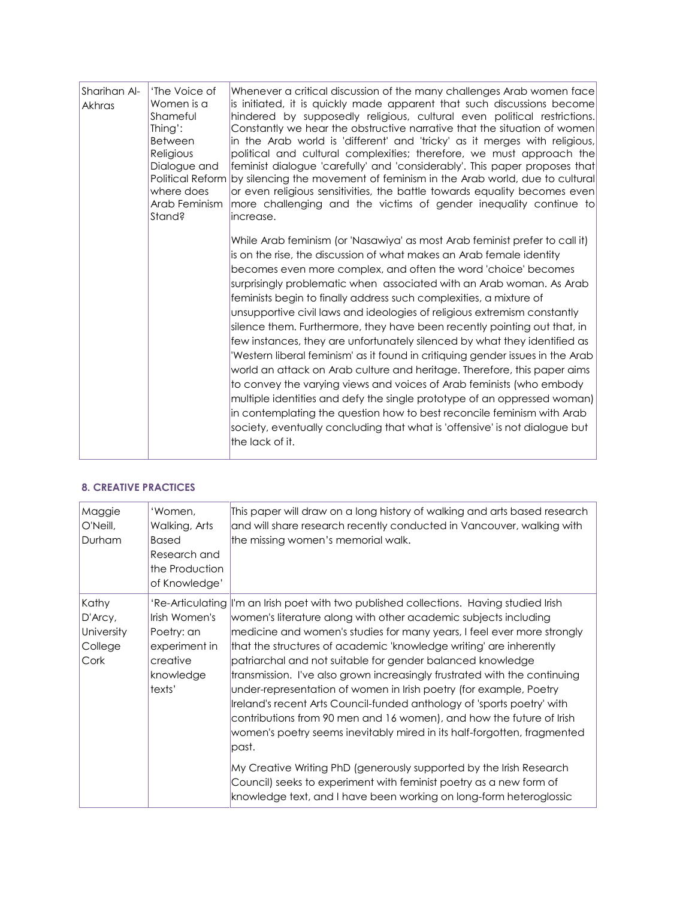| Sharihan Al-<br>Akhras | 'The Voice of<br>Women is a<br>Shameful<br>Thing':<br><b>Between</b><br>Religious<br>Dialogue and<br>where does<br>Arab Feminism<br>Stand? | Whenever a critical discussion of the many challenges Arab women face<br>is initiated, it is quickly made apparent that such discussions become<br>hindered by supposedly religious, cultural even political restrictions.<br>Constantly we hear the obstructive narrative that the situation of women<br>in the Arab world is 'different' and 'tricky' as it merges with religious,<br>political and cultural complexities; therefore, we must approach the<br>feminist dialogue 'carefully' and 'considerably'. This paper proposes that<br>Political Reform by silencing the movement of feminism in the Arab world, due to cultural<br>or even religious sensitivities, the battle towards equality becomes even<br>more challenging and the victims of gender inequality continue to<br>lincrease.                                                                                                                                                                                                                                                                                                 |
|------------------------|--------------------------------------------------------------------------------------------------------------------------------------------|---------------------------------------------------------------------------------------------------------------------------------------------------------------------------------------------------------------------------------------------------------------------------------------------------------------------------------------------------------------------------------------------------------------------------------------------------------------------------------------------------------------------------------------------------------------------------------------------------------------------------------------------------------------------------------------------------------------------------------------------------------------------------------------------------------------------------------------------------------------------------------------------------------------------------------------------------------------------------------------------------------------------------------------------------------------------------------------------------------|
|                        |                                                                                                                                            | While Arab feminism (or 'Nasawiya' as most Arab feminist prefer to call it)<br>is on the rise, the discussion of what makes an Arab female identity<br>becomes even more complex, and often the word 'choice' becomes'<br>surprisingly problematic when associated with an Arab woman. As Arab<br>feminists begin to finally address such complexities, a mixture of<br>unsupportive civil laws and ideologies of religious extremism constantly<br>silence them. Furthermore, they have been recently pointing out that, in<br>few instances, they are unfortunately silenced by what they identified as<br>'Western liberal feminism' as it found in critiquing gender issues in the Arab<br>world an attack on Arab culture and heritage. Therefore, this paper aims<br>to convey the varying views and voices of Arab feminists (who embody<br>multiple identities and defy the single prototype of an oppressed woman)<br>in contemplating the question how to best reconcile feminism with Arab<br>society, eventually concluding that what is 'offensive' is not dialogue but<br>the lack of it. |

#### **8. CREATIVE PRACTICES**

| Maggie<br>O'Neill,<br>Durham                      | 'Women,<br>Walking, Arts<br><b>Based</b><br>Research and<br>the Production<br>of Knowledge' | This paper will draw on a long history of walking and arts based research<br>and will share research recently conducted in Vancouver, walking with<br>the missing women's memorial walk.                                                                                                                                                                                                                                                                                                                                                                                                                                                                                                                                                                                                                                                                                                                                                                                              |
|---------------------------------------------------|---------------------------------------------------------------------------------------------|---------------------------------------------------------------------------------------------------------------------------------------------------------------------------------------------------------------------------------------------------------------------------------------------------------------------------------------------------------------------------------------------------------------------------------------------------------------------------------------------------------------------------------------------------------------------------------------------------------------------------------------------------------------------------------------------------------------------------------------------------------------------------------------------------------------------------------------------------------------------------------------------------------------------------------------------------------------------------------------|
| Kathy<br>D'Arcy,<br>University<br>College<br>Cork | Irish Women's<br>Poetry: an<br>experiment in<br>creative<br>knowledge<br>texts'             | 'Re-Articulating  I'm an Irish poet with two published collections. Having studied Irish<br>women's literature along with other academic subjects including<br>medicine and women's studies for many years, I feel ever more strongly<br>that the structures of academic 'knowledge writing' are inherently<br>patriarchal and not suitable for gender balanced knowledge<br>transmission. I've also grown increasingly frustrated with the continuing<br>under-representation of women in Irish poetry (for example, Poetry<br>Ireland's recent Arts Council-funded anthology of 'sports poetry' with<br>contributions from 90 men and 16 women), and how the future of Irish<br>women's poetry seems inevitably mired in its half-forgotten, fragmented<br>past.<br>My Creative Writing PhD (generously supported by the Irish Research<br>Council) seeks to experiment with feminist poetry as a new form of<br>knowledge text, and I have been working on long-form heteroglossic |